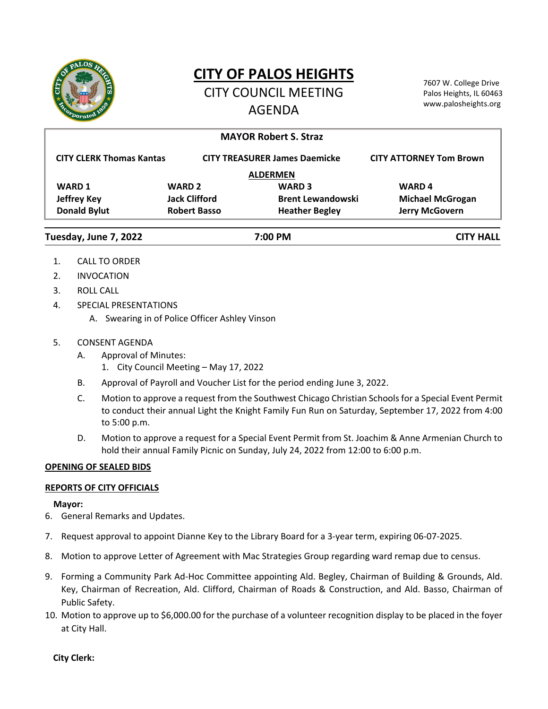

# **CITY OF PALOS HEIGHTS**

CITY COUNCIL MEETING AGENDA

7607 W. College Drive Palos Heights, IL 60463 www.palosheights.org

|                                  |                      | <b>MAYOR Robert S. Straz</b>         |                                |
|----------------------------------|----------------------|--------------------------------------|--------------------------------|
| <b>CITY CLERK Thomas Kantas</b>  |                      | <b>CITY TREASURER James Daemicke</b> | <b>CITY ATTORNEY Tom Brown</b> |
|                                  |                      | <b>ALDERMEN</b>                      |                                |
| <b>WARD 1</b>                    | <b>WARD 2</b>        | <b>WARD 3</b>                        | <b>WARD4</b>                   |
| <b>Jeffrey Key</b>               | <b>Jack Clifford</b> | <b>Brent Lewandowski</b>             | <b>Michael McGrogan</b>        |
| <b>Donald Bylut</b>              | <b>Robert Basso</b>  | <b>Heather Begley</b>                | <b>Jerry McGovern</b>          |
| Tuesday, June 7, 2022<br>7:00 PM |                      |                                      | <b>CITY HALL</b>               |

- 1. CALL TO ORDER
- 2. INVOCATION
- 3. ROLL CALL
- 4. SPECIAL PRESENTATIONS
	- A. Swearing in of Police Officer Ashley Vinson
- 5. CONSENT AGENDA
	- A. Approval of Minutes:
		- 1. City Council Meeting May 17, 2022
	- B. Approval of Payroll and Voucher List for the period ending June 3, 2022.
	- C. Motion to approve a request from the Southwest Chicago Christian Schoolsfor a Special Event Permit to conduct their annual Light the Knight Family Fun Run on Saturday, September 17, 2022 from 4:00 to 5:00 p.m.
	- D. Motion to approve a request for a Special Event Permit from St. Joachim & Anne Armenian Church to hold their annual Family Picnic on Sunday, July 24, 2022 from 12:00 to 6:00 p.m.

# **OPENING OF SEALED BIDS**

# **REPORTS OF CITY OFFICIALS**

# **Mayor:**

- 6. General Remarks and Updates.
- 7. Request approval to appoint Dianne Key to the Library Board for a 3‐year term, expiring 06‐07‐2025.
- 8. Motion to approve Letter of Agreement with Mac Strategies Group regarding ward remap due to census.
- 9. Forming a Community Park Ad-Hoc Committee appointing Ald. Begley, Chairman of Building & Grounds, Ald. Key, Chairman of Recreation, Ald. Clifford, Chairman of Roads & Construction, and Ald. Basso, Chairman of Public Safety.
- 10. Motion to approve up to \$6,000.00 for the purchase of a volunteer recognition display to be placed in the foyer at City Hall.

**City Clerk:**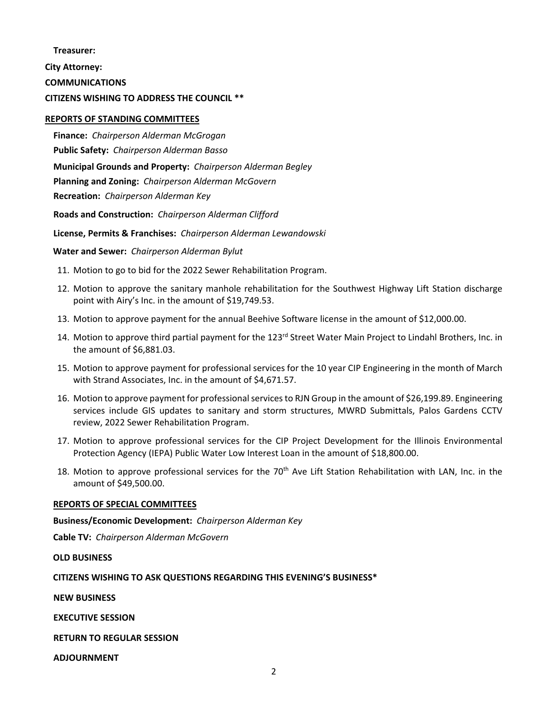### **Treasurer:**

**City Attorney:**

**COMMUNICATIONS**

# **CITIZENS WISHING TO ADDRESS THE COUNCIL \*\***

## **REPORTS OF STANDING COMMITTEES**

**Finance:** *Chairperson Alderman McGrogan* **Public Safety:** *Chairperson Alderman Basso* **Municipal Grounds and Property:** *Chairperson Alderman Begley* **Planning and Zoning:** *Chairperson Alderman McGovern* **Recreation:** *Chairperson Alderman Key*

**Roads and Construction:** *Chairperson Alderman Clifford*

**License, Permits & Franchises:** *Chairperson Alderman Lewandowski*

**Water and Sewer:** *Chairperson Alderman Bylut*

- 11. Motion to go to bid for the 2022 Sewer Rehabilitation Program.
- 12. Motion to approve the sanitary manhole rehabilitation for the Southwest Highway Lift Station discharge point with Airy's Inc. in the amount of \$19,749.53.
- 13. Motion to approve payment for the annual Beehive Software license in the amount of \$12,000.00.
- 14. Motion to approve third partial payment for the 123<sup>rd</sup> Street Water Main Project to Lindahl Brothers, Inc. in the amount of \$6,881.03.
- 15. Motion to approve payment for professional services for the 10 year CIP Engineering in the month of March with Strand Associates, Inc. in the amount of \$4,671.57.
- 16. Motion to approve payment for professional services to RJN Group in the amount of \$26,199.89. Engineering services include GIS updates to sanitary and storm structures, MWRD Submittals, Palos Gardens CCTV review, 2022 Sewer Rehabilitation Program.
- 17. Motion to approve professional services for the CIP Project Development for the Illinois Environmental Protection Agency (IEPA) Public Water Low Interest Loan in the amount of \$18,800.00.
- 18. Motion to approve professional services for the 70<sup>th</sup> Ave Lift Station Rehabilitation with LAN, Inc. in the amount of \$49,500.00.

### **REPORTS OF SPECIAL COMMITTEES**

**Business/Economic Development:** *Chairperson Alderman Key*

**Cable TV:** *Chairperson Alderman McGovern*

**OLD BUSINESS**

# **CITIZENS WISHING TO ASK QUESTIONS REGARDING THIS EVENING'S BUSINESS\***

**NEW BUSINESS**

**EXECUTIVE SESSION**

**RETURN TO REGULAR SESSION**

**ADJOURNMENT**